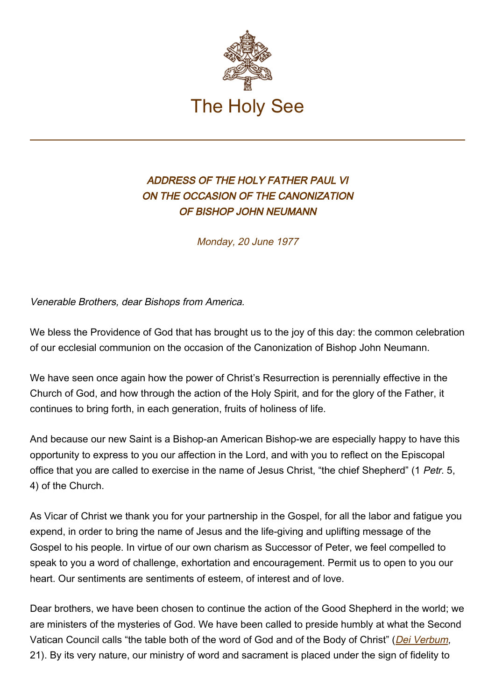

## ADDRESS OF THE HOLY FATHER PAUL VI ON THE OCCASION OF THE CANONIZATION OF BISHOP JOHN NEUMANN

Monday, 20 June 1977

Venerable Brothers, dear Bishops from America.

We bless the Providence of God that has brought us to the joy of this day: the common celebration of our ecclesial communion on the occasion of the Canonization of Bishop John Neumann.

We have seen once again how the power of Christ's Resurrection is perennially effective in the Church of God, and how through the action of the Holy Spirit, and for the glory of the Father, it continues to bring forth, in each generation, fruits of holiness of life.

And because our new Saint is a Bishop-an American Bishop-we are especially happy to have this opportunity to express to you our affection in the Lord, and with you to reflect on the Episcopal office that you are called to exercise in the name of Jesus Christ, "the chief Shepherd" (1 Petr. 5, 4) of the Church.

As Vicar of Christ we thank you for your partnership in the Gospel, for all the labor and fatigue you expend, in order to bring the name of Jesus and the life-giving and uplifting message of the Gospel to his people. In virtue of our own charism as Successor of Peter, we feel compelled to speak to you a word of challenge, exhortation and encouragement. Permit us to open to you our heart. Our sentiments are sentiments of esteem, of interest and of love.

Dear brothers, we have been chosen to continue the action of the Good Shepherd in the world; we are ministers of the mysteries of God. We have been called to preside humbly at what the Second Vatican Council calls "the table both of the word of God and of the Body of Christ" (*[Dei Verbum](http://www.vatican.va/archive/hist_councils/ii_vatican_council/documents/vat-ii_const_19651118_dei-verbum_en.html)*, 21). By its very nature, our ministry of word and sacrament is placed under the sign of fidelity to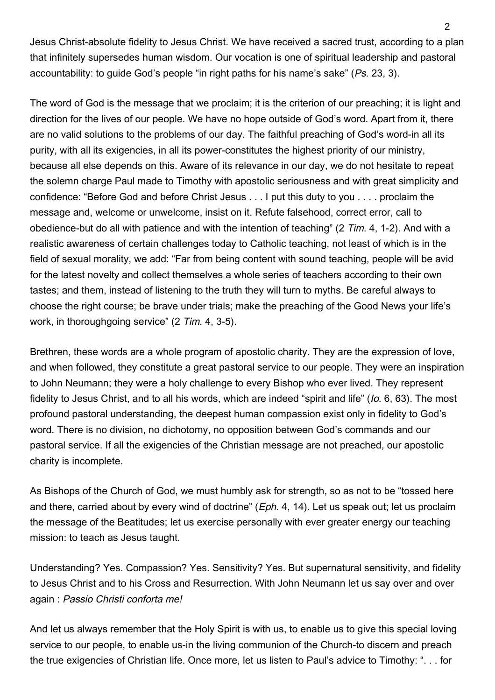Jesus Christ-absolute fidelity to Jesus Christ. We have received a sacred trust, according to a plan that infinitely supersedes human wisdom. Our vocation is one of spiritual leadership and pastoral accountability: to guide God's people "in right paths for his name's sake" (Ps. 23, 3).

The word of God is the message that we proclaim; it is the criterion of our preaching; it is light and direction for the lives of our people. We have no hope outside of God's word. Apart from it, there are no valid solutions to the problems of our day. The faithful preaching of God's word-in all its purity, with all its exigencies, in all its power-constitutes the highest priority of our ministry, because all else depends on this. Aware of its relevance in our day, we do not hesitate to repeat the solemn charge Paul made to Timothy with apostolic seriousness and with great simplicity and confidence: "Before God and before Christ Jesus . . . I put this duty to you . . . . proclaim the message and, welcome or unwelcome, insist on it. Refute falsehood, correct error, call to obedience-but do all with patience and with the intention of teaching" (2 Tim. 4, 1-2). And with a realistic awareness of certain challenges today to Catholic teaching, not least of which is in the field of sexual morality, we add: "Far from being content with sound teaching, people will be avid for the latest novelty and collect themselves a whole series of teachers according to their own tastes; and them, instead of listening to the truth they will turn to myths. Be careful always to choose the right course; be brave under trials; make the preaching of the Good News your life's work, in thoroughgoing service" (2 Tim. 4, 3-5).

Brethren, these words are a whole program of apostolic charity. They are the expression of love, and when followed, they constitute a great pastoral service to our people. They were an inspiration to John Neumann; they were a holy challenge to every Bishop who ever lived. They represent fidelity to Jesus Christ, and to all his words, which are indeed "spirit and life" (Io. 6, 63). The most profound pastoral understanding, the deepest human compassion exist only in fidelity to God's word. There is no division, no dichotomy, no opposition between God's commands and our pastoral service. If all the exigencies of the Christian message are not preached, our apostolic charity is incomplete.

As Bishops of the Church of God, we must humbly ask for strength, so as not to be "tossed here and there, carried about by every wind of doctrine" (*Eph.* 4, 14). Let us speak out; let us proclaim the message of the Beatitudes; let us exercise personally with ever greater energy our teaching mission: to teach as Jesus taught.

Understanding? Yes. Compassion? Yes. Sensitivity? Yes. But supernatural sensitivity, and fidelity to Jesus Christ and to his Cross and Resurrection. With John Neumann let us say over and over again : Passio Christi conforta me!

And let us always remember that the Holy Spirit is with us, to enable us to give this special loving service to our people, to enable us-in the living communion of the Church-to discern and preach the true exigencies of Christian life. Once more, let us listen to Paul's advice to Timothy: ". . . for